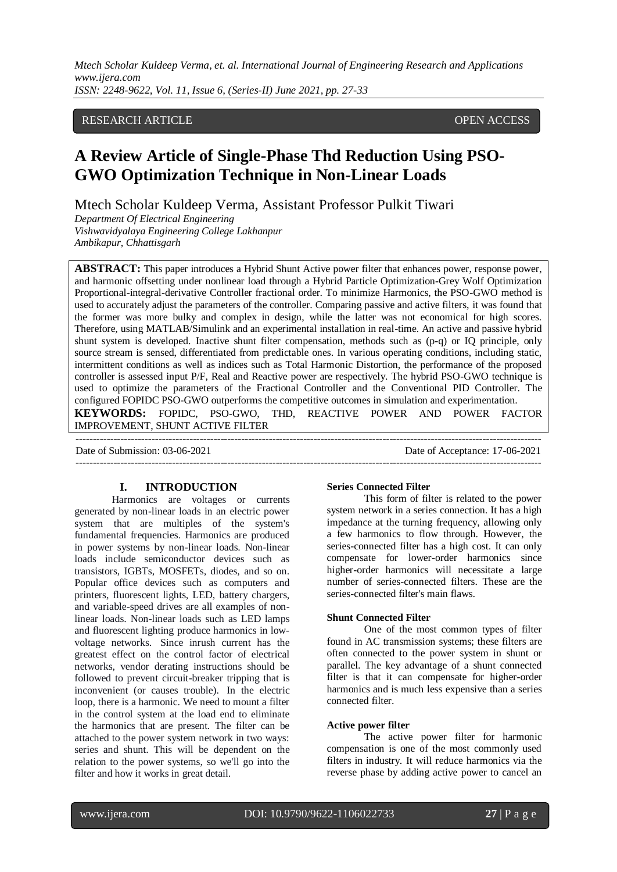*Mtech Scholar Kuldeep Verma, et. al. International Journal of Engineering Research and Applications www.ijera.com ISSN: 2248-9622, Vol. 11, Issue 6, (Series-II) June 2021, pp. 27-33*

## RESEARCH ARTICLE OPEN ACCESS

# **A Review Article of Single-Phase Thd Reduction Using PSO-GWO Optimization Technique in Non-Linear Loads**

Mtech Scholar Kuldeep Verma, Assistant Professor Pulkit Tiwari

*Department Of Electrical Engineering Vishwavidyalaya Engineering College Lakhanpur Ambikapur, Chhattisgarh*

**ABSTRACT:** This paper introduces a Hybrid Shunt Active power filter that enhances power, response power, and harmonic offsetting under nonlinear load through a Hybrid Particle Optimization-Grey Wolf Optimization Proportional-integral-derivative Controller fractional order. To minimize Harmonics, the PSO-GWO method is used to accurately adjust the parameters of the controller. Comparing passive and active filters, it was found that the former was more bulky and complex in design, while the latter was not economical for high scores. Therefore, using MATLAB/Simulink and an experimental installation in real-time. An active and passive hybrid shunt system is developed. Inactive shunt filter compensation, methods such as (p-q) or IQ principle, only source stream is sensed, differentiated from predictable ones. In various operating conditions, including static, intermittent conditions as well as indices such as Total Harmonic Distortion, the performance of the proposed controller is assessed input P/F, Real and Reactive power are respectively. The hybrid PSO-GWO technique is used to optimize the parameters of the Fractional Controller and the Conventional PID Controller. The configured FOPIDC PSO-GWO outperforms the competitive outcomes in simulation and experimentation. **KEYWORDS:** FOPIDC, PSO-GWO, THD, REACTIVE POWER AND POWER FACTOR IMPROVEMENT, SHUNT ACTIVE FILTER

---------------------------------------------------------------------------------------------------------------------------------------

Date of Submission: 03-06-2021 Date of Acceptance: 17-06-2021 ---------------------------------------------------------------------------------------------------------------------------------------

#### **I. INTRODUCTION**

Harmonics are voltages or currents generated by non-linear loads in an electric power system that are multiples of the system's fundamental frequencies. Harmonics are produced in power systems by non-linear loads. Non-linear loads include semiconductor devices such as transistors, IGBTs, MOSFETs, diodes, and so on. Popular office devices such as computers and printers, fluorescent lights, LED, battery chargers, and variable-speed drives are all examples of nonlinear loads. Non-linear loads such as LED lamps and fluorescent lighting produce harmonics in lowvoltage networks. Since inrush current has the greatest effect on the control factor of electrical networks, vendor derating instructions should be followed to prevent circuit-breaker tripping that is inconvenient (or causes trouble). In the electric loop, there is a harmonic. We need to mount a filter in the control system at the load end to eliminate the harmonics that are present. The filter can be attached to the power system network in two ways: series and shunt. This will be dependent on the relation to the power systems, so we'll go into the filter and how it works in great detail.

#### **Series Connected Filter**

This form of filter is related to the power system network in a series connection. It has a high impedance at the turning frequency, allowing only a few harmonics to flow through. However, the series-connected filter has a high cost. It can only compensate for lower-order harmonics since higher-order harmonics will necessitate a large number of series-connected filters. These are the series-connected filter's main flaws.

#### **Shunt Connected Filter**

One of the most common types of filter found in AC transmission systems; these filters are often connected to the power system in shunt or parallel. The key advantage of a shunt connected filter is that it can compensate for higher-order harmonics and is much less expensive than a series connected filter.

#### **Active power filter**

The active power filter for harmonic compensation is one of the most commonly used filters in industry. It will reduce harmonics via the reverse phase by adding active power to cancel an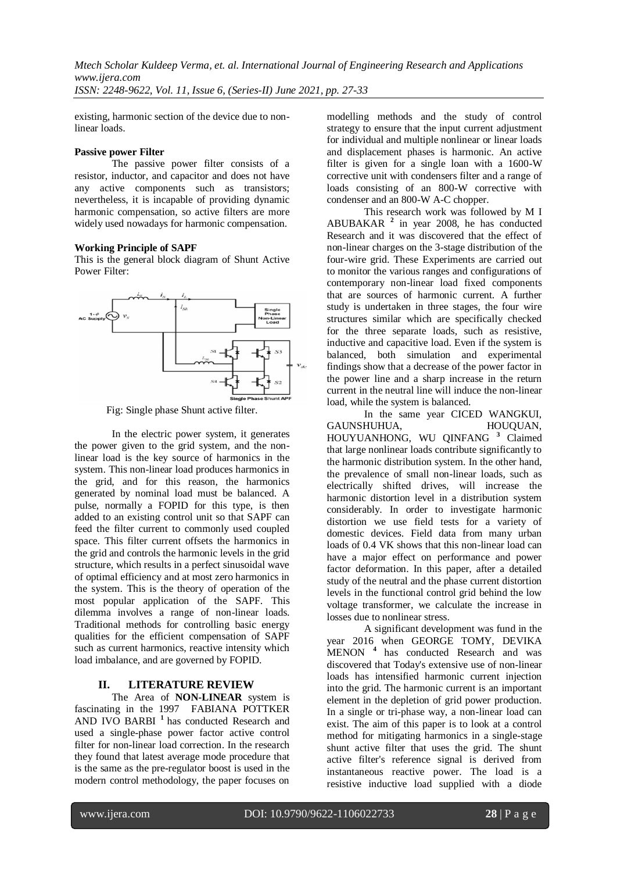existing, harmonic section of the device due to non-

### **Passive power Filter**

linear loads.

The passive power filter consists of a resistor, inductor, and capacitor and does not have any active components such as transistors; nevertheless, it is incapable of providing dynamic harmonic compensation, so active filters are more widely used nowadays for harmonic compensation.

#### **Working Principle of SAPF**

This is the general block diagram of Shunt Active Power Filter:



Fig: Single phase Shunt active filter.

In the electric power system, it generates the power given to the grid system, and the nonlinear load is the key source of harmonics in the system. This non-linear load produces harmonics in the grid, and for this reason, the harmonics generated by nominal load must be balanced. A pulse, normally a FOPID for this type, is then added to an existing control unit so that SAPF can feed the filter current to commonly used coupled space. This filter current offsets the harmonics in the grid and controls the harmonic levels in the grid structure, which results in a perfect sinusoidal wave of optimal efficiency and at most zero harmonics in the system. This is the theory of operation of the most popular application of the SAPF. This dilemma involves a range of non-linear loads. Traditional methods for controlling basic energy qualities for the efficient compensation of SAPF such as current harmonics, reactive intensity which load imbalance, and are governed by FOPID.

## **II. LITERATURE REVIEW**

The Area of **NON-LINEAR** system is fascinating in the 1997 FABIANA POTTKER AND IVO BARBI **<sup>1</sup>**has conducted Research and used a single-phase power factor active control filter for non-linear load correction. In the research they found that latest average mode procedure that is the same as the pre-regulator boost is used in the modern control methodology, the paper focuses on

modelling methods and the study of control strategy to ensure that the input current adjustment for individual and multiple nonlinear or linear loads and displacement phases is harmonic. An active filter is given for a single loan with a 1600-W corrective unit with condensers filter and a range of loads consisting of an 800-W corrective with condenser and an 800-W A-C chopper.

This research work was followed by M I ABUBAKAR **<sup>2</sup>** in year 2008, he has conducted Research and it was discovered that the effect of non-linear charges on the 3-stage distribution of the four-wire grid. These Experiments are carried out to monitor the various ranges and configurations of contemporary non-linear load fixed components that are sources of harmonic current. A further study is undertaken in three stages, the four wire structures similar which are specifically checked for the three separate loads, such as resistive, inductive and capacitive load. Even if the system is balanced, both simulation and experimental findings show that a decrease of the power factor in the power line and a sharp increase in the return current in the neutral line will induce the non-linear load, while the system is balanced.

In the same year CICED WANGKUI,<br>HUHUA, HOUOUAN, GAUNSHUHUA, HOUYUANHONG, WU QINFANG **<sup>3</sup>** Claimed that large nonlinear loads contribute significantly to the harmonic distribution system. In the other hand, the prevalence of small non-linear loads, such as electrically shifted drives, will increase the harmonic distortion level in a distribution system considerably. In order to investigate harmonic distortion we use field tests for a variety of domestic devices. Field data from many urban loads of 0.4 VK shows that this non-linear load can have a major effect on performance and power factor deformation. In this paper, after a detailed study of the neutral and the phase current distortion levels in the functional control grid behind the low voltage transformer, we calculate the increase in losses due to nonlinear stress.

A significant development was fund in the year 2016 when GEORGE TOMY, DEVIKA MENON **<sup>4</sup>** has conducted Research and was discovered that Today's extensive use of non-linear loads has intensified harmonic current injection into the grid. The harmonic current is an important element in the depletion of grid power production. In a single or tri-phase way, a non-linear load can exist. The aim of this paper is to look at a control method for mitigating harmonics in a single-stage shunt active filter that uses the grid. The shunt active filter's reference signal is derived from instantaneous reactive power. The load is a resistive inductive load supplied with a diode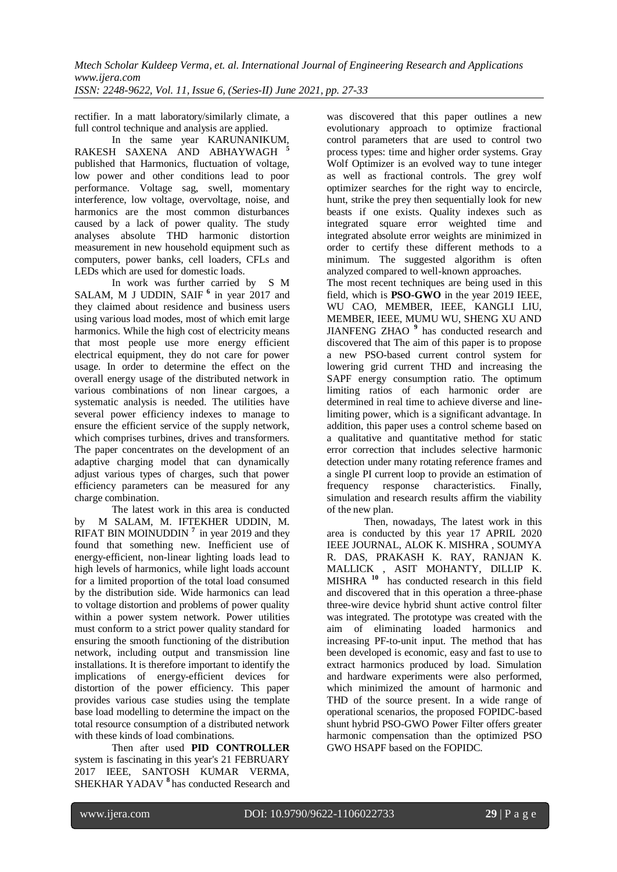*ISSN: 2248-9622, Vol. 11, Issue 6, (Series-II) June 2021, pp. 27-33*

rectifier. In a matt laboratory/similarly climate, a full control technique and analysis are applied.

In the same year KARUNANIKUM, RAKESH SAXENA AND ABHAYWAGH **<sup>5</sup>** published that Harmonics, fluctuation of voltage, low power and other conditions lead to poor performance. Voltage sag, swell, momentary interference, low voltage, overvoltage, noise, and harmonics are the most common disturbances caused by a lack of power quality. The study analyses absolute THD harmonic distortion measurement in new household equipment such as computers, power banks, cell loaders, CFLs and LEDs which are used for domestic loads.

In work was further carried by S M SALAM, M J UDDIN, SAIF<sup>6</sup> in year 2017 and they claimed about residence and business users using various load modes, most of which emit large harmonics. While the high cost of electricity means that most people use more energy efficient electrical equipment, they do not care for power usage. In order to determine the effect on the overall energy usage of the distributed network in various combinations of non linear cargoes, a systematic analysis is needed. The utilities have several power efficiency indexes to manage to ensure the efficient service of the supply network, which comprises turbines, drives and transformers. The paper concentrates on the development of an adaptive charging model that can dynamically adjust various types of charges, such that power efficiency parameters can be measured for any charge combination.

The latest work in this area is conducted by M SALAM, M. IFTEKHER UDDIN, M. RIFAT BIN MOINUDDIN<sup>7</sup> in year 2019 and they found that something new. Inefficient use of energy-efficient, non-linear lighting loads lead to high levels of harmonics, while light loads account for a limited proportion of the total load consumed by the distribution side. Wide harmonics can lead to voltage distortion and problems of power quality within a power system network. Power utilities must conform to a strict power quality standard for ensuring the smooth functioning of the distribution network, including output and transmission line installations. It is therefore important to identify the implications of energy-efficient devices for distortion of the power efficiency. This paper provides various case studies using the template base load modelling to determine the impact on the total resource consumption of a distributed network with these kinds of load combinations.

Then after used **PID CONTROLLER**  system is fascinating in this year's 21 FEBRUARY 2017 IEEE, SANTOSH KUMAR VERMA, SHEKHAR YADAV **<sup>8</sup>**has conducted Research and was discovered that this paper outlines a new evolutionary approach to optimize fractional control parameters that are used to control two process types: time and higher order systems. Gray Wolf Optimizer is an evolved way to tune integer as well as fractional controls. The grey wolf optimizer searches for the right way to encircle, hunt, strike the prey then sequentially look for new beasts if one exists. Quality indexes such as integrated square error weighted time and integrated absolute error weights are minimized in order to certify these different methods to a minimum. The suggested algorithm is often analyzed compared to well-known approaches. The most recent techniques are being used in this field, which is **PSO-GWO** in the year 2019 IEEE, WU CAO, MEMBER, IEEE, KANGLI LIU, MEMBER, IEEE, MUMU WU, SHENG XU AND JIANFENG ZHAO **<sup>9</sup>** has conducted research and discovered that The aim of this paper is to propose a new PSO-based current control system for lowering grid current THD and increasing the SAPF energy consumption ratio. The optimum limiting ratios of each harmonic order are determined in real time to achieve diverse and linelimiting power, which is a significant advantage. In addition, this paper uses a control scheme based on a qualitative and quantitative method for static error correction that includes selective harmonic detection under many rotating reference frames and a single PI current loop to provide an estimation of frequency response characteristics. Finally, simulation and research results affirm the viability of the new plan.

Then, nowadays, The latest work in this area is conducted by this year 17 APRIL 2020 IEEE JOURNAL, ALOK K. MISHRA , SOUMYA R. DAS, PRAKASH K. RAY, RANJAN K. MALLICK , ASIT MOHANTY, DILLIP K. MISHRA **<sup>10</sup>** has conducted research in this field and discovered that in this operation a three-phase three-wire device hybrid shunt active control filter was integrated. The prototype was created with the aim of eliminating loaded harmonics and increasing PF-to-unit input. The method that has been developed is economic, easy and fast to use to extract harmonics produced by load. Simulation and hardware experiments were also performed, which minimized the amount of harmonic and THD of the source present. In a wide range of operational scenarios, the proposed FOPIDC-based shunt hybrid PSO-GWO Power Filter offers greater harmonic compensation than the optimized PSO GWO HSAPF based on the FOPIDC.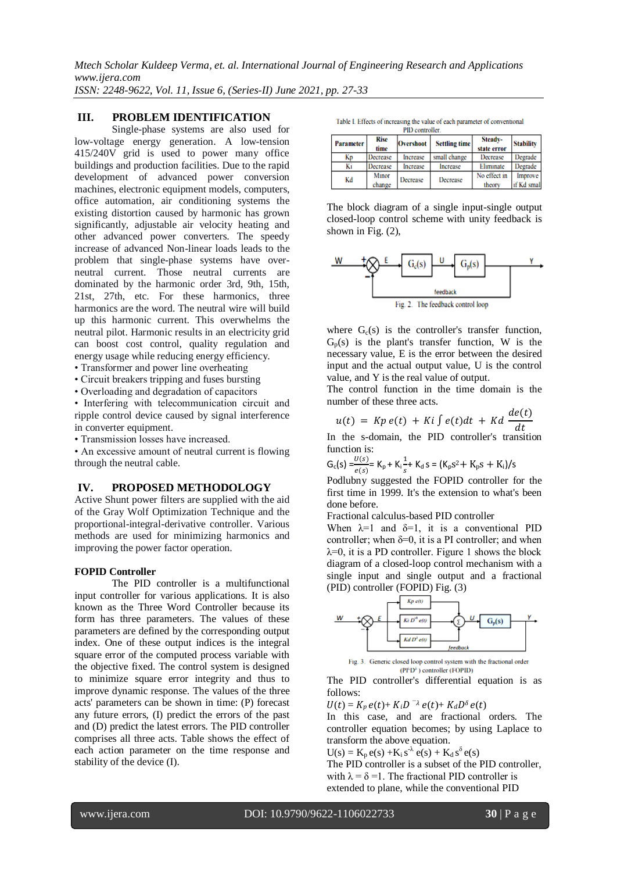*ISSN: 2248-9622, Vol. 11, Issue 6, (Series-II) June 2021, pp. 27-33*

# **III. PROBLEM IDENTIFICATION**

Single-phase systems are also used for low-voltage energy generation. A low-tension 415/240V grid is used to power many office buildings and production facilities. Due to the rapid development of advanced power conversion machines, electronic equipment models, computers, office automation, air conditioning systems the existing distortion caused by harmonic has grown significantly, adjustable air velocity heating and other advanced power converters. The speedy increase of advanced Non-linear loads leads to the problem that single-phase systems have overneutral current. Those neutral currents are dominated by the harmonic order 3rd, 9th, 15th, 21st, 27th, etc. For these harmonics, three harmonics are the word. The neutral wire will build up this harmonic current. This overwhelms the neutral pilot. Harmonic results in an electricity grid can boost cost control, quality regulation and energy usage while reducing energy efficiency.

- Transformer and power line overheating
- Circuit breakers tripping and fuses bursting
- Overloading and degradation of capacitors

• Interfering with telecommunication circuit and ripple control device caused by signal interference in converter equipment.

• Transmission losses have increased.

• An excessive amount of neutral current is flowing through the neutral cable.

# **IV. PROPOSED METHODOLOGY**

Active Shunt power filters are supplied with the aid of the Gray Wolf Optimization Technique and the proportional-integral-derivative controller. Various methods are used for minimizing harmonics and improving the power factor operation.

# **FOPID Controller**

The PID controller is a multifunctional input controller for various applications. It is also known as the Three Word Controller because its form has three parameters. The values of these parameters are defined by the corresponding output index. One of these output indices is the integral square error of the computed process variable with the objective fixed. The control system is designed to minimize square error integrity and thus to improve dynamic response. The values of the three acts' parameters can be shown in time: (P) forecast any future errors, (I) predict the errors of the past and (D) predict the latest errors. The PID controller comprises all three acts. Table shows the effect of each action parameter on the time response and stability of the device (I).

Table I. Effects of increasing the value of each parameter of conventional PID controller

| г нэ сонионсь |                 |                  |                      |                        |                          |
|---------------|-----------------|------------------|----------------------|------------------------|--------------------------|
| Parameter     | Rise<br>time    | <b>Overshoot</b> | <b>Settling time</b> | Steady-<br>state error | <b>Stability</b>         |
| Kр            | Decrease        | Increase         | small change         | Decrease               | Degrade                  |
| Ki            | Decrease        | Increase         | Increase             | Eliminate              | Degrade                  |
| Kd            | Minor<br>change | Decrease         | Decrease             | No effect in<br>theory | Improve  <br>if Kd small |

The block diagram of a single input-single output closed-loop control scheme with unity feedback is shown in Fig. (2),



where  $G_c(s)$  is the controller's transfer function,  $G_p(s)$  is the plant's transfer function, W is the necessary value, E is the error between the desired input and the actual output value, U is the control value, and Y is the real value of output.

The control function in the time domain is the number of these three acts.

$$
u(t) = Kp e(t) + Ki \int e(t) dt + Kd \frac{de(t)}{dt}
$$

In the s-domain, the PID controller's transition function is:

$$
G_c(s) = \frac{U(s)}{e(s)} = K_p + K_i \frac{1}{s} + K_d s = (K_p s^2 + K_p s + K_i)/s
$$

Podlubny suggested the FOPID controller for the first time in 1999. It's the extension to what's been done before.

Fractional calculus-based PID controller

When  $\lambda=1$  and  $\delta=1$ , it is a conventional PID controller; when  $\delta=0$ , it is a PI controller; and when  $\lambda=0$ , it is a PD controller. Figure 1 shows the block diagram of a closed-loop control mechanism with a single input and single output and a fractional (PID) controller (FOPID) Fig. (3)



Fig. 3. Generic closed loop control system with the fractional order (PFD<sup>6</sup>) controller (FOPID)

The PID controller's differential equation is as follows:

$$
U(t) = K_p e(t) + K_i D^{-\lambda} e(t) + K_d D^{\delta} e(t)
$$

In this case, and are fractional orders. The controller equation becomes; by using Laplace to transform the above equation.

 $U(s) = K_p e(s) + K_i s^{\lambda} e(s) + K_d s^{\delta} e(s)$ 

The PID controller is a subset of the PID controller, with  $\lambda = \delta = 1$ . The fractional PID controller is extended to plane, while the conventional PID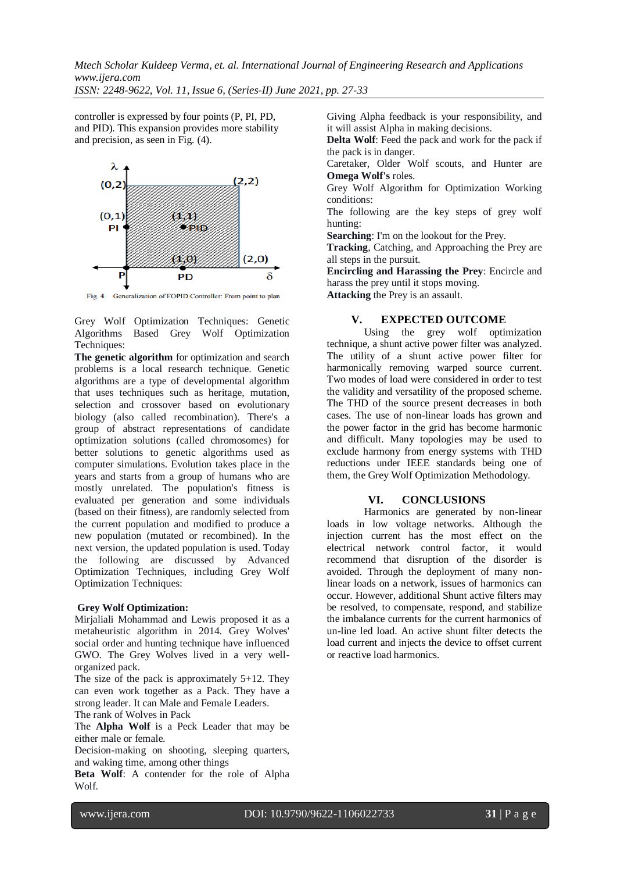*ISSN: 2248-9622, Vol. 11, Issue 6, (Series-II) June 2021, pp. 27-33*

controller is expressed by four points (P, PI, PD, and PID). This expansion provides more stability and precision, as seen in Fig. (4).



Fig. 4. Generalization of FOPID Controller: From point to plan

Grey Wolf Optimization Techniques: Genetic Algorithms Based Grey Wolf Optimization Techniques:

**The genetic algorithm** for optimization and search problems is a local research technique. Genetic algorithms are a type of developmental algorithm that uses techniques such as heritage, mutation, selection and crossover based on evolutionary biology (also called recombination). There's a group of abstract representations of candidate optimization solutions (called chromosomes) for better solutions to genetic algorithms used as computer simulations. Evolution takes place in the years and starts from a group of humans who are mostly unrelated. The population's fitness is evaluated per generation and some individuals (based on their fitness), are randomly selected from the current population and modified to produce a new population (mutated or recombined). In the next version, the updated population is used. Today the following are discussed by Advanced Optimization Techniques, including Grey Wolf Optimization Techniques:

#### **Grey Wolf Optimization:**

Mirjaliali Mohammad and Lewis proposed it as a metaheuristic algorithm in 2014. Grey Wolves' social order and hunting technique have influenced GWO. The Grey Wolves lived in a very wellorganized pack.

The size of the pack is approximately 5+12. They can even work together as a Pack. They have a strong leader. It can Male and Female Leaders. The rank of Wolves in Pack

The **Alpha Wolf** is a Peck Leader that may be either male or female.

Decision-making on shooting, sleeping quarters, and waking time, among other things

**Beta Wolf**: A contender for the role of Alpha Wolf.

Giving Alpha feedback is your responsibility, and it will assist Alpha in making decisions.

**Delta Wolf**: Feed the pack and work for the pack if the pack is in danger.

Caretaker, Older Wolf scouts, and Hunter are **Omega Wolf's** roles.

Grey Wolf Algorithm for Optimization Working conditions:

The following are the key steps of grey wolf hunting:

**Searching**: I'm on the lookout for the Prey.

**Tracking**, Catching, and Approaching the Prey are all steps in the pursuit.

**Encircling and Harassing the Prey**: Encircle and harass the prey until it stops moving. **Attacking** the Prey is an assault.

## **V. EXPECTED OUTCOME**

Using the grey wolf optimization technique, a shunt active power filter was analyzed. The utility of a shunt active power filter for harmonically removing warped source current. Two modes of load were considered in order to test the validity and versatility of the proposed scheme. The THD of the source present decreases in both cases. The use of non-linear loads has grown and the power factor in the grid has become harmonic and difficult. Many topologies may be used to exclude harmony from energy systems with THD reductions under IEEE standards being one of them, the Grey Wolf Optimization Methodology.

## **VI. CONCLUSIONS**

Harmonics are generated by non-linear loads in low voltage networks. Although the injection current has the most effect on the electrical network control factor, it would recommend that disruption of the disorder is avoided. Through the deployment of many nonlinear loads on a network, issues of harmonics can occur. However, additional Shunt active filters may be resolved, to compensate, respond, and stabilize the imbalance currents for the current harmonics of un-line led load. An active shunt filter detects the load current and injects the device to offset current or reactive load harmonics.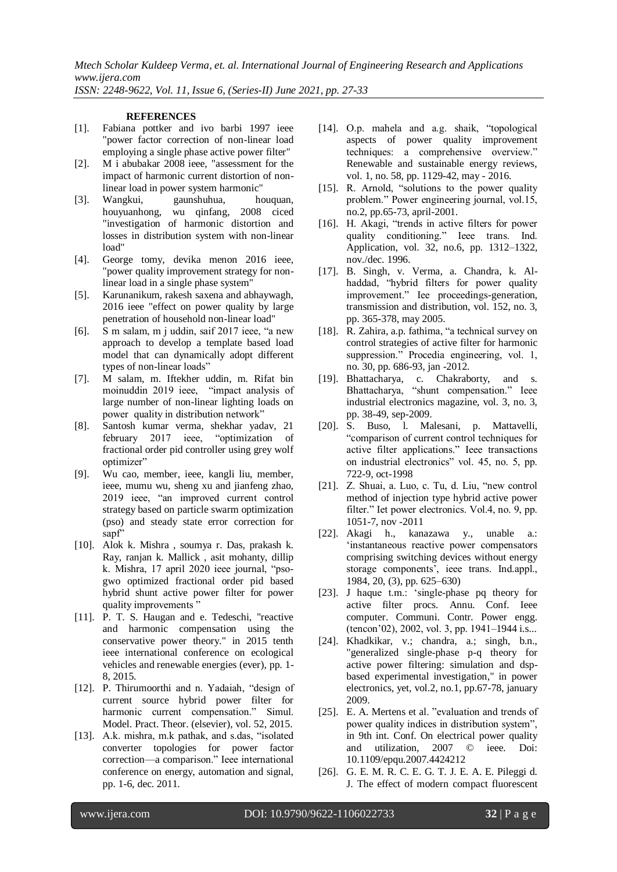*ISSN: 2248-9622, Vol. 11, Issue 6, (Series-II) June 2021, pp. 27-33*

#### **REFERENCES**

- [1]. Fabiana pottker and ivo barbi 1997 ieee "power factor correction of non-linear load employing a single phase active power filter"
- [2]. M i abubakar 2008 ieee, "assessment for the impact of harmonic current distortion of nonlinear load in power system harmonic"
- [3]. Wangkui, gaunshuhua, houquan, houyuanhong, wu qinfang, 2008 ciced "investigation of harmonic distortion and losses in distribution system with non-linear load"
- [4]. George tomy, devika menon 2016 ieee, "power quality improvement strategy for nonlinear load in a single phase system"
- [5]. Karunanikum, rakesh saxena and abhaywagh, 2016 ieee "effect on power quality by large penetration of household non-linear load"
- [6]. S m salam, m j uddin, saif 2017 ieee, "a new approach to develop a template based load model that can dynamically adopt different types of non-linear loads"
- [7]. M salam, m. Iftekher uddin, m. Rifat bin moinuddin 2019 ieee, "impact analysis of large number of non-linear lighting loads on power quality in distribution network"
- [8]. Santosh kumar verma, shekhar yadav, 21 february 2017 ieee, "optimization of fractional order pid controller using grey wolf optimizer"
- [9]. Wu cao, member, ieee, kangli liu, member, ieee, mumu wu, sheng xu and jianfeng zhao, 2019 ieee, "an improved current control strategy based on particle swarm optimization (pso) and steady state error correction for sapf"
- [10]. Alok k. Mishra , soumya r. Das, prakash k. Ray, ranjan k. Mallick , asit mohanty, dillip k. Mishra, 17 april 2020 ieee journal, "psogwo optimized fractional order pid based hybrid shunt active power filter for power quality improvements"
- [11]. P. T. S. Haugan and e. Tedeschi, "reactive and harmonic compensation using the conservative power theory." in 2015 tenth ieee international conference on ecological vehicles and renewable energies (ever), pp. 1- 8, 2015.
- [12]. P. Thirumoorthi and n. Yadaiah, "design of current source hybrid power filter for harmonic current compensation." Simul. Model. Pract. Theor. (elsevier), vol. 52, 2015.
- [13]. A.k. mishra, m.k pathak, and s.das, "isolated converter topologies for power factor correction—a comparison." Ieee international conference on energy, automation and signal, pp. 1-6, dec. 2011.
- [14]. O.p. mahela and a.g. shaik, "topological aspects of power quality improvement techniques: a comprehensive overview." Renewable and sustainable energy reviews, vol. 1, no. 58, pp. 1129-42, may - 2016.
- [15]. R. Arnold, "solutions to the power quality problem." Power engineering journal, vol.15, no.2, pp.65-73, april-2001.
- [16]. H. Akagi, "trends in active filters for power quality conditioning." Ieee trans. Ind. Application, vol. 32, no.6, pp. 1312–1322, nov./dec. 1996.
- [17]. B. Singh, v. Verma, a. Chandra, k. Alhaddad, "hybrid filters for power quality improvement." Iee proceedings-generation, transmission and distribution, vol. 152, no. 3, pp. 365-378, may 2005.
- [18]. R. Zahira, a.p. fathima, "a technical survey on control strategies of active filter for harmonic suppression." Procedia engineering, vol. 1, no. 30, pp. 686-93, jan -2012.
- [19]. Bhattacharya, c. Chakraborty, and s. Bhattacharya, "shunt compensation." Ieee industrial electronics magazine, vol. 3, no. 3, pp. 38-49, sep-2009.
- [20]. S. Buso, l. Malesani, p. Mattavelli, "comparison of current control techniques for active filter applications." Ieee transactions on industrial electronics" vol. 45, no. 5, pp. 722-9, oct-1998
- [21]. Z. Shuai, a. Luo, c. Tu, d. Liu, "new control method of injection type hybrid active power filter." Iet power electronics. Vol.4, no. 9, pp. 1051-7, nov -2011
- [22]. Akagi h., kanazawa y., unable a.: 'instantaneous reactive power compensators comprising switching devices without energy storage components', ieee trans. Ind.appl., 1984, 20, (3), pp. 625–630)
- [23]. J haque t.m.: 'single-phase pq theory for active filter procs. Annu. Conf. Ieee computer. Communi. Contr. Power engg. (tencon'02), 2002, vol. 3, pp. 1941–1944 i.s...
- [24]. Khadkikar, v.; chandra, a.; singh, b.n., "generalized single-phase p-q theory for active power filtering: simulation and dspbased experimental investigation," in power electronics, yet, vol.2, no.1, pp.67-78, january 2009.
- [25]. E. A. Mertens et al. "evaluation and trends of power quality indices in distribution system", in 9th int. Conf. On electrical power quality and utilization, 2007 © ieee. Doi: 10.1109/epqu.2007.4424212
- [26]. G. E. M. R. C. E. G. T. J. E. A. E. Pileggi d. J. The effect of modern compact fluorescent